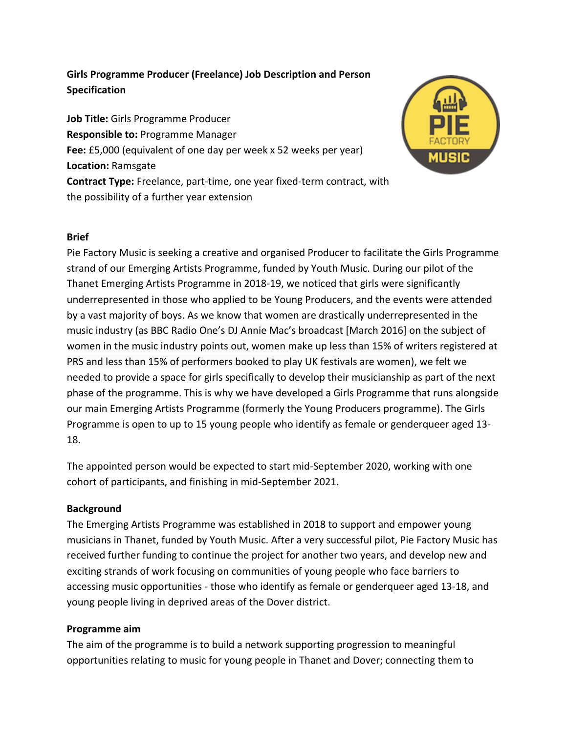# Girls Programme Producer (Freelance) Job Description and Person **Specification**

**Job Title:** Girls Programme Producer **Responsible to: Programme Manager Fee:** £5,000 (equivalent of one day per week x 52 weeks per year) **Location: Ramsgate Contract Type:** Freelance, part-time, one year fixed-term contract, with the possibility of a further year extension



### **Brief**

Pie Factory Music is seeking a creative and organised Producer to facilitate the Girls Programme strand of our Emerging Artists Programme, funded by Youth Music. During our pilot of the Thanet Emerging Artists Programme in 2018-19, we noticed that girls were significantly underrepresented in those who applied to be Young Producers, and the events were attended by a vast majority of boys. As we know that women are drastically underrepresented in the music industry (as BBC Radio One's DJ Annie Mac's broadcast [March 2016] on the subject of women in the music industry points out, women make up less than 15% of writers registered at PRS and less than 15% of performers booked to play UK festivals are women), we felt we needed to provide a space for girls specifically to develop their musicianship as part of the next phase of the programme. This is why we have developed a Girls Programme that runs alongside our main Emerging Artists Programme (formerly the Young Producers programme). The Girls Programme is open to up to 15 young people who identify as female or genderqueer aged 13-18. 

The appointed person would be expected to start mid-September 2020, working with one cohort of participants, and finishing in mid-September 2021.

#### **Background**

The Emerging Artists Programme was established in 2018 to support and empower young musicians in Thanet, funded by Youth Music. After a very successful pilot, Pie Factory Music has received further funding to continue the project for another two years, and develop new and exciting strands of work focusing on communities of young people who face barriers to accessing music opportunities - those who identify as female or genderqueer aged 13-18, and young people living in deprived areas of the Dover district.

#### **Programme aim**

The aim of the programme is to build a network supporting progression to meaningful opportunities relating to music for young people in Thanet and Dover; connecting them to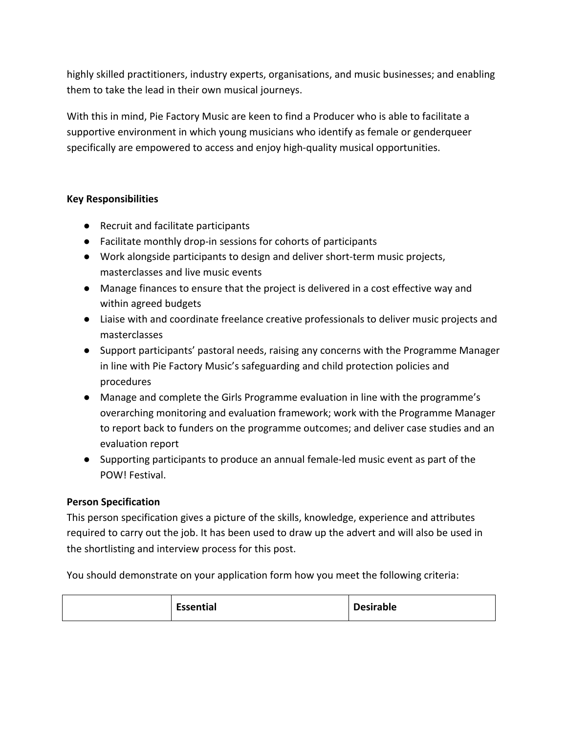highly skilled practitioners, industry experts, organisations, and music businesses; and enabling them to take the lead in their own musical journeys.

With this in mind, Pie Factory Music are keen to find a Producer who is able to facilitate a supportive environment in which young musicians who identify as female or genderqueer specifically are empowered to access and enjoy high-quality musical opportunities.

## **Key Responsibilities**

- Recruit and facilitate participants
- Facilitate monthly drop-in sessions for cohorts of participants
- Work alongside participants to design and deliver short-term music projects, masterclasses and live music events
- Manage finances to ensure that the project is delivered in a cost effective way and within agreed budgets
- Liaise with and coordinate freelance creative professionals to deliver music projects and masterclasses
- Support participants' pastoral needs, raising any concerns with the Programme Manager in line with Pie Factory Music's safeguarding and child protection policies and procedures
- Manage and complete the Girls Programme evaluation in line with the programme's overarching monitoring and evaluation framework; work with the Programme Manager to report back to funders on the programme outcomes; and deliver case studies and an evaluation report
- Supporting participants to produce an annual female-led music event as part of the POW! Festival.

### **Person Specification**

This person specification gives a picture of the skills, knowledge, experience and attributes required to carry out the job. It has been used to draw up the advert and will also be used in the shortlisting and interview process for this post.

You should demonstrate on your application form how you meet the following criteria:

| <b>Essential</b><br><b>Desirable</b> |
|--------------------------------------|
|--------------------------------------|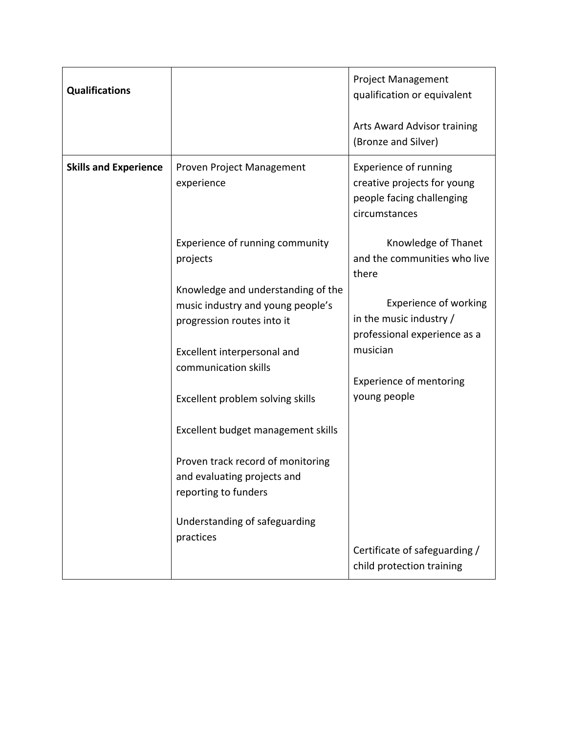| <b>Qualifications</b>        |                                                                                                       | <b>Project Management</b><br>qualification or equivalent<br>Arts Award Advisor training<br>(Bronze and Silver) |
|------------------------------|-------------------------------------------------------------------------------------------------------|----------------------------------------------------------------------------------------------------------------|
| <b>Skills and Experience</b> | Proven Project Management<br>experience                                                               | <b>Experience of running</b><br>creative projects for young<br>people facing challenging<br>circumstances      |
|                              | Experience of running community<br>projects                                                           | Knowledge of Thanet<br>and the communities who live<br>there                                                   |
|                              | Knowledge and understanding of the<br>music industry and young people's<br>progression routes into it | <b>Experience of working</b><br>in the music industry /<br>professional experience as a                        |
|                              | Excellent interpersonal and<br>communication skills                                                   | musician                                                                                                       |
|                              | Excellent problem solving skills                                                                      | <b>Experience of mentoring</b><br>young people                                                                 |
|                              | Excellent budget management skills                                                                    |                                                                                                                |
|                              | Proven track record of monitoring<br>and evaluating projects and<br>reporting to funders              |                                                                                                                |
|                              | Understanding of safeguarding<br>practices                                                            | Certificate of safeguarding /                                                                                  |
|                              |                                                                                                       | child protection training                                                                                      |